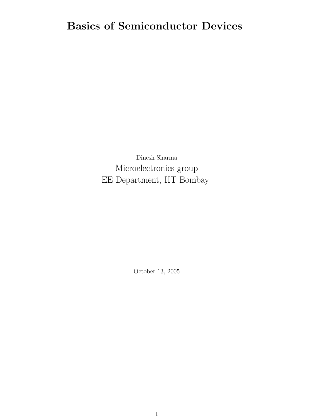# Basics of Semiconductor Devices

Dinesh Sharma Microelectronics group EE Department, IIT Bombay

October 13, 2005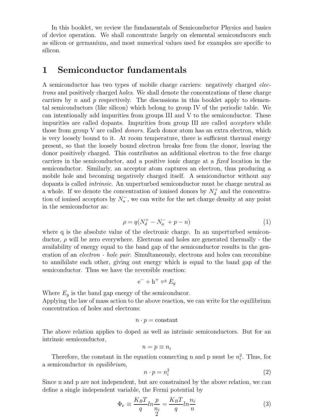In this booklet, we review the fundamentals of Semiconductor Physics and basics of device operation. We shall concentrate largely on elemental semiconducors such as silicon or germanium, and most numerical values used for examples are specific to silicon.

### 1 Semiconductor fundamentals

A semiconductor has two types of mobile charge carriers: negatively charged electrons and positively charged holes. We shall denote the concentrations of these charge carriers by  $n$  and  $p$  respectively. The discussions in this booklet apply to elemental semiconductors (like silicon) which belong to group IV of the periodic table. We can intentionally add impurities from groups III and V to the semiconductor. These impurities are called dopants. Impurities from group III are called *acceptors* while those from group V are called *donors*. Each donor atom has an extra electron, which is very loosely bound to it. At room temperature, there is sufficient thermal energy present, so that the loosely bound electron breaks free from the donor, leaving the donor positively charged. This contributes an additional electron to the free charge carriers in the semiconductor, and a positive ionic charge at a fixed location in the semiconductor. Similarly, an acceptor atom captures an electron, thus producing a mobile hole and becoming negatively charged itself. A semiconductor without any dopants is called intrinsic. An unperturbed semiconductor must be charge neutral as a whole. If we denote the concentration of ionised donors by  $N_d^+$  and the concentration of ionised acceptors by  $N_a^-$ , we can write for the net charge density at any point in the semiconductor as:

$$
\rho = q(N_d^+ - N_a^- + p - n) \tag{1}
$$

where q is the absolute value of the electronic charge. In an unperturbed semiconductor,  $\rho$  will be zero everywhere. Electrons and holes are generated thermally - the availability of energy equal to the band gap of the semiconductor results in the generation of an electron - hole pair. Simultaneously, electrons and holes can recombine to annihilate each other, giving out energy which is equal to the band gap of the semiconductor. Thus we have the reversible reaction:

$$
e^- + h^+ \rightleftharpoons E_g
$$

Where  $E_q$  is the band gap energy of the semiconducor.

Applying the law of mass action to the above reaction, we can write for the equilibrium concentration of holes and electrons:

$$
n \cdot p = \text{constant}
$$

The above relation applies to doped as well as intrinsic semiconductors. But for an intrinsic semiconductor,

$$
n=p\equiv n_i
$$

Therefore, the constant in the equation connecting n and p must be  $n_i^2$ . Thus, for a semiconductor in equilibrium,

$$
n \cdot p = n_i^2 \tag{2}
$$

Since n and p are not independent, but are constrained by the above relation, we can define a single independent variable, the Fermi potential by

$$
\Phi_{\mathbf{F}} \equiv \frac{K_B T}{q} ln \frac{p}{n_i} = \frac{K_B T}{q} ln \frac{n_i}{n}
$$
\n(3)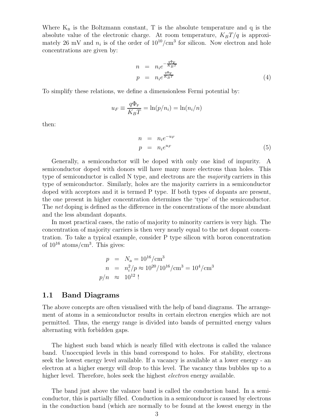Where  $K_B$  is the Boltzmann constant, T is the absolute temperature and q is the absolute value of the electronic charge. At room temperature,  $K_BT/q$  is approximately 26 mV and  $n_i$  is of the order of  $10^{10}/\text{cm}^3$  for silicon. Now electron and hole concentrations are given by:

$$
n = n_i e^{-\frac{q\Phi_{\rm F}}{K_B T}}
$$
  
\n
$$
p = n_i e^{\frac{q\Phi_{\rm F}}{K_B T}}
$$
\n(4)

To simplify these relations, we define a dimensionless Fermi potential by:

$$
u_F \equiv \frac{q\Phi_{\rm F}}{K_BT} = \ln(p/n_i) = \ln(n_i/n)
$$

then:

$$
n = n_i e^{-u_F}
$$
  
\n
$$
p = n_i e^{u_F}
$$
\n(5)

Generally, a semiconductor will be doped with only one kind of impurity. A semiconductor doped with donors will have many more electrons than holes. This type of semiconductor is called N type, and electrons are the *majority* carriers in this type of semiconductor. Similarly, holes are the majority carriers in a semiconductor doped with acceptors and it is termed P type. If both types of dopants are present, the one present in higher concentration determines the 'type' of the semiconductor. The net doping is defined as the difference in the concentrations of the more abundant and the less abundant dopants.

In most practical cases, the ratio of majority to minority carriers is very high. The concentration of majority carriers is then very nearly equal to the net dopant concentration. To take a typical example, consider P type silicon with boron concentration of  $10^{16}$  atoms/cm<sup>3</sup>. This gives:

$$
p = N_a = 10^{16} / \text{cm}^3
$$
  
\n
$$
n = n_i^2 / p \approx 10^{20} / 10^{16} / \text{cm}^3 = 10^4 / \text{cm}^3
$$
  
\n
$$
p/n \approx 10^{12}!
$$

#### 1.1 Band Diagrams

The above concepts are often visualised with the help of band diagrams. The arrangement of atoms in a semiconductor results in certain electron energies which are not permitted. Thus, the energy range is divided into bands of permitted energy values alternating with forbidden gaps.

The highest such band which is nearly filled with electrons is called the valance band. Unoccupied levels in this band correspond to holes. For stability, electrons seek the lowest energy level available. If a vacancy is available at a lower energy - an electron at a higher energy will drop to this level. The vacancy thus bubbles up to a higher level. Therefore, holes seek the highest *electron* energy available.

The band just above the valance band is called the conduction band. In a semiconductor, this is partially filled. Conduction in a semiconducor is caused by electrons in the conduction band (which are normally to be found at the lowest energy in the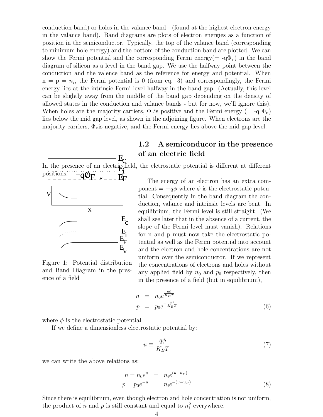conduction band) or holes in the valance band - (found at the highest electron energy in the valance band). Band diagrams are plots of electron energies as a function of position in the semiconductor. Typically, the top of the valance band (corresponding to minimum hole energy) and the bottom of the conduction band are plotted. We can show the Fermi potential and the corresponding Fermi energy( $= -q\Phi_F$ ) in the band diagram of silicon as a level in the band gap. We use the halfway point between the conduction and the valence band as the reference for energy and potential. When  $n = p = n_i$ , the Fermi potential is 0 (from eq. 3) and correspondingly, the Fermi energy lies at the intrinsic Fermi level halfway in the band gap. (Actually, this level can be slightly away from the middle of the band gap depending on the density of allowed states in the conduction and valance bands - but for now, we'll ignore this). When holes are the majority carriers,  $\Phi_{\rm F}$  is positive and the Fermi energy (= -q  $\Phi_{\rm F}$ ) lies below the mid gap level, as shown in the adjoining figure. When electrons are the majority carriers,  $\Phi_{\rm F}$  is negative, and the Fermi energy lies above the mid gap level.

### 1.2 A semiconducor in the presence of an electric field

E E  $\mathrm{c}$ In the presence of an electric field, the elctrostatic potential is different at different positions. positions.



Figure 1: Potential distribution and Band Diagram in the presence of a field

The energy of an electron has an extra component =  $-q\phi$  where  $\phi$  is the electrostatic potential. Consequently in the band diagram the conduction, valance and intrinsic levels are bent. In equilibrium, the Fermi level is still straight. (We shall see later that in the absence of a current, the slope of the Fermi level must vanish). Relations for n and p must now take the electrostatic potential as well as the Fermi potential into account and the electron and hole concentrations are not uniform over the semiconductor. If we represent the concentrations of electrons and holes without any applied field by  $n_0$  and  $p_0$  respectively, then in the presence of a field (but in equilibrium),

$$
n = n_0 e^{\frac{q\phi}{K_B T}}
$$
  
\n
$$
p = p_0 e^{-\frac{q\phi}{K_B T}}
$$
\n(6)

where  $\phi$  is the electrostatic potential.

If we define a dimensionless electrostatic potential by:

$$
u \equiv \frac{q\phi}{K_B T} \tag{7}
$$

we can write the above relations as:

$$
n = n_0 e^u = n_i e^{(u - u_F)}
$$
  
\n
$$
p = p_0 e^{-u} = n_i e^{-(u - u_F)}
$$
\n(8)

Since there is equilibrium, even though electron and hole concentration is not uniform, the product of n and p is still constant and equal to  $n_i^2$  everywhere.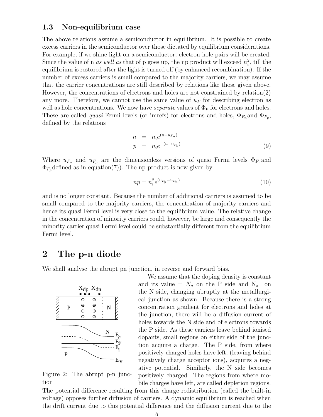### 1.3 Non-equilibrium case

The above relations assume a semiconductor in equilibrium. It is possible to create excess carriers in the semiconductor over those dictated by equilibrium considerations. For example, if we shine light on a semiconductor, electron-hole pairs will be created. Since the value of n as well as that of p goes up, the np product will exceed  $n_i^2$ , till the equilibrium is restored after the light is turned off (by enhanced recombination). If the number of excess carriers is small compared to the majority carriers, we may assume that the carrier concentrations are still described by relations like those given above. However, the concentrations of electrons and holes are not constrained by relation(2) any more. Therefore, we cannot use the same value of  $u_F$  for describing electron as well as hole concentrations. We now have *separate* values of  $\Phi_F$  for electrons and holes. These are called *quasi* Fermi levels (or imrefs) for electrons and holes,  $\Phi_{F_n}$  and  $\Phi_{F_p}$ , defined by the relations

$$
n = n_i e^{(u - u_{F_n})}
$$
  
\n
$$
p = n_i e^{-(u - u_{F_p})}
$$
\n(9)

Where  $u_{F_n}$  and  $u_{F_p}$  are the dimensionless versions of quasi Fermi levels  $\Phi_{F_n}$  and  $\Phi_{F_p}$  defined as in equation(7)). The np product is now given by

$$
np = n_i^2 e^{(u_{F_p} - u_{F_n})}
$$
\n
$$
(10)
$$

and is no longer constant. Because the number of additional carriers is assumed to be small compared to the majority carriers, the concentration of majority carriers and hence its quasi Fermi level is very close to the equilibrium value. The relative change in the concentration of minority carriers could, however, be large and consequently the minority carrier quasi Fermi level could be substantially different from the equilibrium Fermi level.

### 2 The p-n diode

We shall analyse the abrupt pn junction, in reverse and forward bias.



Figure 2: The abrupt p-n junction

We assume that the doping density is constant and its value =  $N_a$  on the P side and N<sub>d</sub> on the N side, changing abruptly at the metallurgical junction as shown. Because there is a strong concentration gradient for electrons and holes at the junction, there will be a diffusion current of holes towards the N side and of electrons towards the P side. As these carriers leave behind ionised dopants, small regions on either side of the junction acquire a charge. The P side, from where positively charged holes have left, (leaving behind negatively charge acceptor ions), acquires a negative potential. Similarly, the N side becomes positively charged. The regions from where mobile charges have left, are called depletion regions.

The potential difference resulting from this charge redistribution (called the built-in voltage) opposes further diffusion of carriers. A dynamic equilibrium is reached when the drift current due to this potential difference and the diffusion current due to the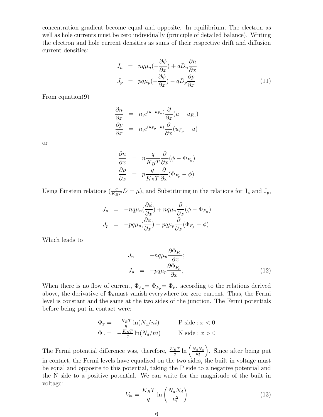concentration gradient become equal and opposite. In equilibrium, The electron as well as hole currents must be zero individually (principle of detailed balance). Writing the electron and hole current densities as sums of their respective drift and diffusion current densities:

$$
J_n = nq\mu_n(-\frac{\partial\phi}{\partial x}) + qD_n\frac{\partial n}{\partial x}
$$
  

$$
J_p = pq\mu_p(-\frac{\partial\phi}{\partial x}) - qD_p\frac{\partial p}{\partial x}
$$
 (11)

From equation(9)

$$
\frac{\partial n}{\partial x} = n_i e^{(u - u_{F_n})} \frac{\partial}{\partial x} (u - u_{F_n})
$$

$$
\frac{\partial p}{\partial x} = n_i e^{(u_{F_p} - u)} \frac{\partial}{\partial x} (u_{F_p} - u)
$$

or

$$
\frac{\partial n}{\partial x} = n \frac{q}{K_B T} \frac{\partial}{\partial x} (\phi - \Phi_{F_n})
$$

$$
\frac{\partial p}{\partial x} = p \frac{q}{K_B T} \frac{\partial}{\partial x} (\Phi_{F_p} - \phi)
$$

Using Einstein relations  $(\frac{q}{K_BT}D=\mu)$ , and Substituting in the relations for  $J_n$  and  $J_p$ ,

$$
J_n = -nq\mu_n \left(\frac{\partial \phi}{\partial x}\right) + nq\mu_n \frac{\partial}{\partial x} (\phi - \Phi_{F_n})
$$
  

$$
J_p = -pq\mu_p \left(\frac{\partial \phi}{\partial x}\right) - pq\mu_p \frac{\partial}{\partial x} (\Phi_{F_p} - \phi)
$$

Which leads to

$$
J_n = -nq\mu_n \frac{\partial \Phi_{F_n}}{\partial x};
$$
  
\n
$$
J_p = -pq\mu_p \frac{\partial \Phi_{F_p}}{\partial x};
$$
\n(12)

When there is no flow of current,  $\Phi_{F_n} = \Phi_{F_n} = \Phi_F$ . according to the relations derived above, the derivative of  $\Phi_{\rm F}$ must vanish everywhere for zero current. Thus, the Fermi level is constant and the same at the two sides of the junction. The Fermi potentials before being put in contact were:

$$
\Phi_{\mathbf{F}} = \frac{K_B T}{q} \ln(N_a / ni)
$$
 P side :  $x < 0$   
\n
$$
\Phi_{\mathbf{F}} = -\frac{K_B T}{q} \ln(N_d / ni)
$$
 N side :  $x > 0$ 

The Fermi potential difference was, therefore,  $\frac{K_BT}{q} \ln \left( \frac{N_dN_a}{n_i^2} \right)$  $n_i^2$  . Since after being put in contact, the Fermi levels have equalised on the two sides, the built in voltage must be equal and opposite to this potential, taking the P side to a negative potential and the N side to a positive potential. We can write for the magnitude of the built in voltage:

$$
V_{bi} = \frac{K_B T}{q} \ln\left(\frac{N_a N_d}{n_i^2}\right) \tag{13}
$$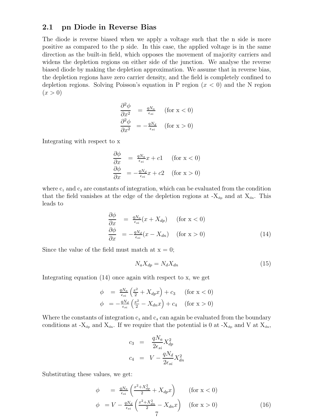### 2.1 pn Diode in Reverse Bias

The diode is reverse biased when we apply a voltage such that the n side is more positive as compared to the p side. In this case, the applied voltage is in the same direction as the built-in field, which opposes the movement of majority carriers and widens the depletion regions on either side of the junction. We analyse the reverse biased diode by making the depletion approximation. We assume that in reverse bias, the depletion regions have zero carrier density, and the field is completely confined to depletion regions. Solving Poisson's equation in P region  $(x < 0)$  and the N region  $(x > 0)$ 

$$
\frac{\partial^2 \phi}{\partial x^2} = \frac{qN_a}{\epsilon_{si}} \quad \text{(for x < 0)}
$$
\n
$$
\frac{\partial^2 \phi}{\partial x^2} = -\frac{qN_d}{\epsilon_{si}} \quad \text{(for x > 0)}
$$

Integrating with respect to x

$$
\frac{\partial \phi}{\partial x} = \frac{qN_a}{\epsilon_{si}}x + c1 \quad \text{(for } x < 0)
$$
\n
$$
\frac{\partial \phi}{\partial x} = -\frac{qN_d}{\epsilon_{si}}x + c2 \quad \text{(for } x > 0)
$$

where  $c_1$  and  $c_2$  are constants of integration, which can be evaluated from the condition that the field vanishes at the edge of the depletion regions at  $-X_{dp}$  and at  $X_{dn}$ . This leads to

$$
\begin{array}{rcl}\n\frac{\partial \phi}{\partial x} & = & \frac{qN_a}{\epsilon_{si}}(x + X_{dp}) \quad \text{(for } x < 0) \\
\frac{\partial \phi}{\partial x} & = & -\frac{qN_d}{\epsilon_{si}}(x - X_{dn}) \quad \text{(for } x > 0)\n\end{array} \tag{14}
$$

Since the value of the field must match at  $x = 0$ ;

$$
N_a X_{dp} = N_d X_{dn} \tag{15}
$$

Integrating equation (14) once again with respect to x, we get

$$
\begin{array}{rcl}\n\phi & = & \frac{qN_a}{\epsilon_{si}} \left( \frac{x^2}{2} + X_{dp} x \right) + c_3 \qquad \text{(for } x < 0) \\
\phi & = & -\frac{qN_d}{\epsilon_{si}} \left( \frac{x^2}{2} - X_{dn} x \right) + c_4 \qquad \text{(for } x > 0)\n\end{array}
$$

Where the constants of integration  $c_3$  and  $c_4$  can again be evaluated from the boundary conditions at - $X_{d,p}$  and  $X_{dn}$ . If we require that the potential is 0 at - $X_{dp}$  and V at  $X_{dn}$ ,

$$
c_3 = \frac{qN_a}{2\epsilon_{si}} X_{dp}^2
$$
  

$$
c_4 = V - \frac{qN_d}{2\epsilon_{si}} X_{dn}^2
$$

Substituting these values, we get:

$$
\phi = \frac{qN_a}{\epsilon_{si}} \left( \frac{x^2 + X_{dp}^2}{2} + X_{dp} x \right) \qquad \text{(for } x < 0)
$$
\n
$$
\phi = V - \frac{qN_d}{\epsilon_{si}} \left( \frac{x^2 + X_{dn}^2}{2} - X_{dn} x \right) \qquad \text{(for } x > 0)
$$
\n
$$
\qquad \qquad (16)
$$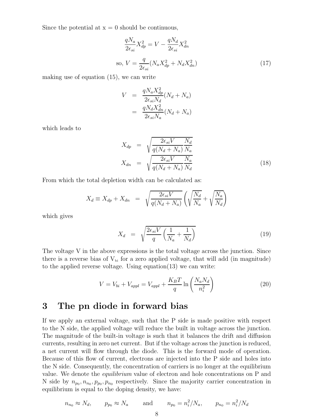Since the potential at  $x = 0$  should be continuous,

$$
\frac{qN_a}{2\epsilon_{si}}X_{dp}^2 = V - \frac{qN_d}{2\epsilon_{si}}X_{dn}^2
$$
  
so, 
$$
V = \frac{q}{2\epsilon_{si}}(N_a X_{dp}^2 + N_d X_{dn}^2)
$$
 (17)

making use of equation (15), we can write

$$
V = \frac{qN_a X_{dp}^2}{2\epsilon_{si} N_d} (N_d + N_a)
$$

$$
= \frac{qN_d X_{dn}^2}{2\epsilon_{si} N_a} (N_d + N_a)
$$

which leads to

$$
X_{dp} = \sqrt{\frac{2\epsilon_{si}V}{q(N_d + N_a)} \frac{N_d}{N_a}}
$$
  

$$
X_{dn} = \sqrt{\frac{2\epsilon_{si}V}{q(N_d + N_a)} \frac{N_a}{N_d}}
$$
 (18)

From which the total depletion width can be calculated as:

$$
X_d \equiv X_{dp} + X_{dn} = \sqrt{\frac{2\epsilon_{si}V}{q(N_d + N_a)}} \left( \sqrt{\frac{N_d}{N_a}} + \sqrt{\frac{N_a}{N_d}} \right)
$$

which gives

$$
X_d = \sqrt{\frac{2\epsilon_{si}V}{q} \left(\frac{1}{N_a} + \frac{1}{N_d}\right)}\tag{19}
$$

The voltage V in the above expressions is the total voltage across the junction. Since there is a reverse bias of  $V_{bi}$  for a zero applied voltage, that will add (in magnitude) to the applied reverse voltage. Using equation(13) we can write:

$$
V = V_{bi} + V_{appl} = V_{appl} + \frac{K_B T}{q} \ln\left(\frac{N_a N_d}{n_i^2}\right)
$$
 (20)

# 3 The pn diode in forward bias

If we apply an external voltage, such that the P side is made positive with respect to the N side, the applied voltage will reduce the built in voltage across the junction. The magnitude of the built-in voltage is such that it balances the drift and diffusion currents, resulting in zero net current. But if the voltage across the junction is reduced, a net current will flow through the diode. This is the forward mode of operation. Because of this flow of current, electrons are injected into the P side and holes into the N side. Consequently, the concentration of carriers is no longer at the equilibrium value. We denote the equilibrium value of electron and hole concentrations on P and N side by  $n_{p_0}, n_{n_0}, p_{p_0}, p_{n_0}$  respectively. Since the majority carrier concentration in equilibrium is equal to the doping density, we have:

$$
n_{n_0} \approx N_d
$$
,  $p_{p_0} \approx N_a$  and  $n_{p_0} = n_i^2/N_a$ ,  $p_{n_0} = n_i^2/N_d$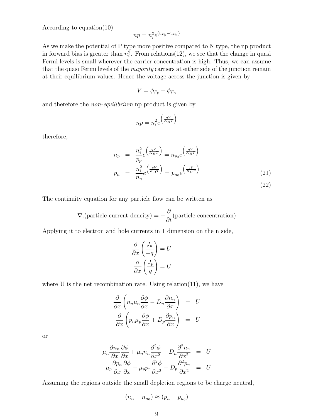According to equation(10)

$$
np = n_i^2 e^{(u_{F_p} - u_{F_n})}
$$

As we make the potential of P type more positive compared to N type, the np product in forward bias is greater than  $n_i^2$ . From relations(12), we see that the change in quasi Fermi levels is small wherever the carrier concentration is high. Thus, we can assume that the quasi Fermi levels of the majority carriers at either side of the junction remain at their equilibrium values. Hence the voltage across the junction is given by

$$
V = \phi_{F_p} - \phi_{F_n}
$$

and therefore the *non-equilibrium* np product is given by

$$
np = n_i^2 e^{\left(\frac{qV}{K_B T}\right)}
$$

therefore,

$$
n_p = \frac{n_i^2}{p_p} e^{\left(\frac{qV}{K_B T}\right)} = n_{p_0} e^{\left(\frac{qV}{K_B T}\right)}
$$

$$
p_n = \frac{n_i^2}{n_n} e^{\left(\frac{qV}{K_B T}\right)} = p_{n_0} e^{\left(\frac{qV}{K_B T}\right)}
$$
(21)

(22)

The continuity equation for any particle flow can be written as

$$
\nabla.(\text{particle current density}) = -\frac{\partial}{\partial t}(\text{particle concentration})
$$

Applying it to electron and hole currents in 1 dimension on the n side,

$$
\frac{\partial}{\partial x} \left( \frac{J_n}{-q} \right) = U
$$

$$
\frac{\partial}{\partial x} \left( \frac{J_p}{q} \right) = U
$$

where U is the net recombination rate. Using relation(11), we have

$$
\frac{\partial}{\partial x}\left(n_n\mu_n\frac{\partial\phi}{\partial x} - D_n\frac{\partial n_n}{\partial x}\right) = U
$$

$$
\frac{\partial}{\partial x}\left(p_n\mu_p\frac{\partial\phi}{\partial x} + D_p\frac{\partial p_n}{\partial x}\right) = U
$$

or

$$
\mu_n \frac{\partial n_n}{\partial x} \frac{\partial \phi}{\partial x} + \mu_n n_n \frac{\partial^2 \phi}{\partial x^2} - D_n \frac{\partial^2 n_n}{\partial x^2} = U
$$
  

$$
\mu_p \frac{\partial p_n}{\partial x} \frac{\partial \phi}{\partial x} + \mu_p p_n \frac{\partial^2 \phi}{\partial x^2} + D_p \frac{\partial^2 p_n}{\partial x^2} = U
$$

Assuming the regions outside the small depletion regions to be charge neutral,

$$
(n_n - n_{n_0}) \approx (p_n - p_{n_0})
$$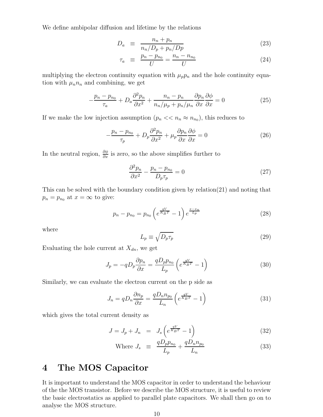We define ambipolar diffusion and lifetime by the relations

$$
D_a \equiv \frac{n_n + p_n}{n_n/D_p + p_n/Dp} \tag{23}
$$

$$
\tau_a \equiv \frac{p_n - p_{n_0}}{U} = \frac{n_n - n_{n_0}}{U} \tag{24}
$$

multiplying the electron continuity equation with  $\mu_p p_n$  and the hole continuity equation with  $\mu_n n_n$  and combining, we get

$$
-\frac{p_n - p_{n_0}}{\tau_a} + D_a \frac{\partial^2 p_n}{\partial x^2} + \frac{n_n - p_n}{n_n/\mu_p + p_n/\mu_n} \frac{\partial p_n}{\partial x} \frac{\partial \phi}{\partial x} = 0 \tag{25}
$$

If we make the low injection assumption  $(p_n \ll n_n \approx n_{n_0})$ , this reduces to

$$
-\frac{p_n - p_{n_0}}{\tau_p} + D_p \frac{\partial^2 p_n}{\partial x^2} + \mu_p \frac{\partial p_n}{\partial x} \frac{\partial \phi}{\partial x} = 0
$$
 (26)

In the neutral region,  $\frac{\partial \phi}{\partial x}$  is zero, so the above simplifies further to

$$
\frac{\partial^2 p_n}{\partial x^2} - \frac{p_n - p_{n_0}}{D_p \tau_p} = 0
$$
\n(27)

This can be solved with the boundary condition given by relation(21) and noting that  $p_n = p_{n_0}$  at  $x = \infty$  to give:

$$
p_n - p_{n_0} = p_{n_0} \left( e^{\frac{qV}{K_B T}} - 1 \right) e^{\frac{x - x_n}{L_p}}
$$
 (28)

where

$$
L_p \equiv \sqrt{D_p \tau_p} \tag{29}
$$

Evaluating the hole current at  $X_{dn}$ , we get

$$
J_p = -qD_p \frac{\partial p_n}{\partial x} = \frac{qD_p p_{n_0}}{L_p} \left( e^{\frac{qV}{K_B T}} - 1 \right)
$$
 (30)

Similarly, we can evaluate the electron current on the p side as

$$
J_n = qD_n \frac{\partial n_p}{\partial x} = \frac{qD_n n_{p_0}}{L_n} \left( e^{\frac{qV}{K_B T}} - 1 \right)
$$
 (31)

which gives the total current density as

$$
J = J_p + J_n = J_s \left( e^{\frac{qV}{K_B T}} - 1 \right) \tag{32}
$$

Where 
$$
J_s \equiv \frac{qD_p p_{n_0}}{L_p} + \frac{qD_n n_{p_0}}{L_n}
$$
 (33)

# 4 The MOS Capacitor

It is important to understand the MOS capacitor in order to understand the behaviour of the the MOS transistor. Before we describe the MOS structure, it is useful to review the basic electrostatics as applied to parallel plate capacitors. We shall then go on to analyse the MOS structure.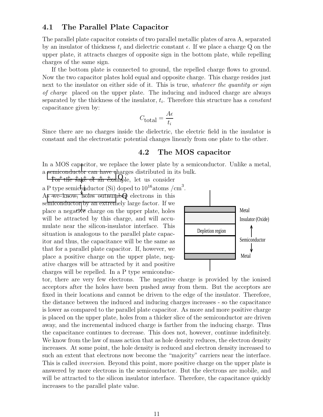### 4.1 The Parallel Plate Capacitor

The parallel plate capacitor consists of two parallel metallic plates of area A, separated by an insulator of thickness  $t_i$  and dielectric constant  $\epsilon$ . If we place a charge Q on the upper plate, it attracts charges of opposite sign in the bottom plate, while repelling charges of the same sign.

If the bottom plate is connected to ground, the repelled charge flows to ground. Now the two capacitor plates hold equal and opposite charge. This charge resides just next to the insulator on either side of it. This is true, whatever the quantity or sign of charge placed on the upper plate. The inducing and induced charge are always separated by the thickness of the insulator,  $t_i$ . Therefore this structure has a *constant* capacitance given by:

$$
C_{\text{total}} = \frac{A\epsilon}{t_i}
$$

Since there are no charges inside the dielectric, the electric field in the insulator is constant and the electrostatic potential changes linearly from one plate to the other.

### 4.2 The MOS capacitor

In a MOS capacitor, we replace the lower plate by a semiconductor. Unlike a metal, a semiconductor can have pharges distributed in its bulk.

 $\frac{1}{4}$  the sake of an example, let us consider a P type semic piductor (Si) doped to  $10^{16}$  atoms /cm<sup>3</sup>.

A<del><sub>p</sub> we know, holes outnumb</del><sup>0</sup> electrons in this semiconductor by an extremely large factor. If we place a negative charge on the upper plate, holes will be attracted by this charge, and will accumulate near the silicon-insulator interface. This situation is analogous to the parallel plate capacitor and thus, the capacitance will be the same as that for a parallel plate capacitor. If, however, we place a positive charge on the upper plate, negative charges will be attracted by it and positive charges will be repelled. In a P type semiconduc-



tor, there are very few electrons. The negative charge is provided by the ionised acceptors after the holes have been pushed away from them. But the acceptors are fixed in their locations and cannot be driven to the edge of the insulator. Therefore, the distance between the induced and inducing charges increases - so the capacitance is lower as compared to the parallel plate capacitor. As more and more positive charge is placed on the upper plate, holes from a thicker slice of the semiconductor are driven away, and the incremental induced charge is farther from the inducing charge. Thus the capacitance continues to decrease. This does not, however, continue indefinitely. We know from the law of mass action that as hole density reduces, the electron density increases. At some point, the hole density is reduced and electron density increased to such an extent that electrons now become the "majority" carriers near the interface. This is called *inversion*. Beyond this point, more positive charge on the upper plate is answered by more electrons in the semiconductor. But the electrons are mobile, and will be attracted to the silicon insulator interface. Therefore, the capacitance quickly increases to the parallel plate value.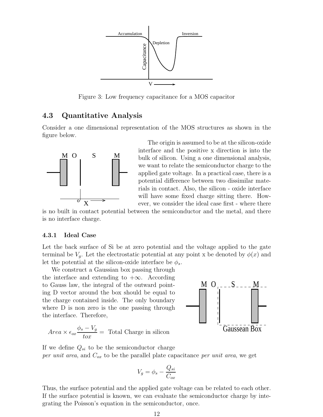

Figure 3: Low frequency capacitance for a MOS capacitor

### 4.3 Quantitative Analysis

Consider a one dimensional representation of the MOS structures as shown in the figure below.



The origin is assumed to be at the silicon-oxide interface and the positive x direction is into the bulk of silicon. Using a one dimensional analysis, we want to relate the semiconductor charge to the applied gate voltage. In a practical case, there is a potential difference between two dissimilar materials in contact. Also, the silicon - oxide interface will have some fixed charge sitting there. However, we consider the ideal case first - where there

is no built in contact potential between the semiconductor and the metal, and there is no interface charge.

#### 4.3.1 Ideal Case

Let the back surface of Si be at zero potential and the voltage applied to the gate terminal be  $V_q$ . Let the electrostatic potential at any point x be denoted by  $\phi(x)$  and let the potential at the silicon-oxide interface be  $\phi_s$ .

We construct a Gaussian box passing through the interface and extending to  $+\infty$ . According to Gauss law, the integral of the outward pointing D vector around the box should be equal to the charge contained inside. The only boundary where D is non zero is the one passing through the interface. Therefore,



$$
Area \times \epsilon_{ox} \frac{\phi_s - V_g}{tox} = \text{Total Charge in silicon}
$$

If we define  $Q_{si}$  to be the semiconductor charge per unit area, and  $C_{ox}$  to be the parallel plate capacitance per unit area, we get

$$
V_g = \phi_s - \frac{Q_{si}}{C_{ox}}
$$

Thus, the surface potential and the applied gate voltage can be related to each other. If the surface potential is known, we can evaluate the semiconductor charge by integrating the Poisson's equation in the semiconductor, once.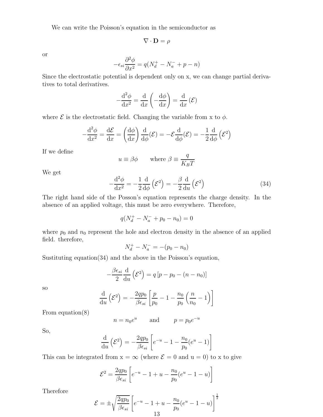We can write the Poisson's equation in the semiconductor as

$$
\nabla \cdot \mathbf{D} = \rho
$$

or

$$
-\epsilon_{si}\frac{\partial^2 \phi}{\partial x^2} = q(N_d^+ - N_a^- + p - n)
$$

Since the electrostatic potential is dependent only on x, we can change partial derivatives to total derivatives.

$$
-\frac{\mathrm{d}^2 \phi}{\mathrm{d}x^2} = \frac{\mathrm{d}}{\mathrm{d}x} \left( -\frac{\mathrm{d}\phi}{\mathrm{d}x} \right) = \frac{\mathrm{d}}{\mathrm{d}x} (\mathcal{E})
$$

where  $\mathcal E$  is the electrostatic field. Changing the variable from x to  $\phi$ .

$$
-\frac{\mathrm{d}^2 \phi}{\mathrm{d}x^2} = \frac{\mathrm{d}\mathcal{E}}{\mathrm{d}x} = \left(\frac{\mathrm{d}\phi}{\mathrm{d}x}\right)\frac{\mathrm{d}}{\mathrm{d}\phi}(\mathcal{E}) = -\mathcal{E}\frac{\mathrm{d}}{\mathrm{d}\phi}(\mathcal{E}) = -\frac{1}{2}\frac{\mathrm{d}}{\mathrm{d}\phi}\left(\mathcal{E}^2\right)
$$

If we define

$$
u \equiv \beta \phi
$$
 where  $\beta \equiv \frac{q}{K_B T}$ 

We get

$$
-\frac{\mathrm{d}^2 \phi}{\mathrm{d}x^2} = -\frac{1}{2} \frac{\mathrm{d}}{\mathrm{d}\phi} \left(\mathcal{E}^2\right) = -\frac{\beta}{2} \frac{\mathrm{d}}{\mathrm{d}u} \left(\mathcal{E}^2\right) \tag{34}
$$

The right hand side of the Posson's equation represents the charge density. In the absence of an applied voltage, this must be zero everywhere. Therefore,

$$
q(N_d^+ - N_a^- + p_0 - n_0) = 0
$$

where  $p_0$  and  $n_0$  represent the hole and electron density in the absence of an applied field. therefore,

$$
N_d^+ - N_a^- = -(p_0 - n_0)
$$

Sustituting equation $(34)$  and the above in the Poisson's equation,

$$
-\frac{\beta \epsilon_{si}}{2} \frac{\mathrm{d}}{\mathrm{d}u} (\mathcal{E}^2) = q \left[ p - p_0 - (n - n_0) \right]
$$

so

$$
\frac{\mathrm{d}}{\mathrm{d}u}\left(\mathcal{E}^2\right) = -\frac{2qp_0}{\beta\epsilon_{si}}\left[\frac{p}{p_0} - 1 - \frac{n_0}{p_0}\left(\frac{n}{n_0} - 1\right)\right]
$$

From equation(8)

$$
n = n_0 e^u \qquad \text{and} \qquad p = p_0 e^{-u}
$$

So,

$$
\frac{\mathrm{d}}{\mathrm{d}u} \left( \mathcal{E}^2 \right) = -\frac{2qp_0}{\beta \epsilon_{si}} \left[ e^{-u} - 1 - \frac{n_0}{p_0} (e^u - 1) \right]
$$

This can be integrated from  $x = \infty$  (where  $\mathcal{E} = 0$  and  $u = 0$ ) to x to give

$$
\mathcal{E}^{2} = \frac{2qp_{0}}{\beta \epsilon_{si}} \left[ e^{-u} - 1 + u - \frac{n_{0}}{p_{0}} (e^{u} - 1 - u) \right]
$$

Therefore

$$
\mathcal{E} = \pm \sqrt{\frac{2qp_0}{\beta \epsilon_{si}}} \left[ e^{-u} - 1 + u - \frac{n_0}{p_0} (e^u - 1 - u) \right]^{\frac{1}{2}}
$$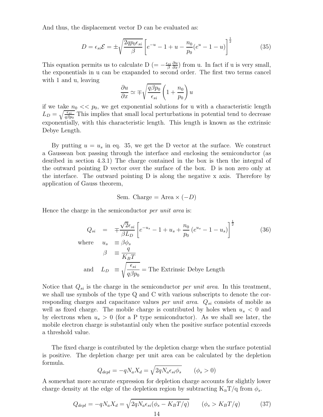And thus, the displacement vector D can be evaluated as:

$$
D = \epsilon_{si} \mathcal{E} = \pm \sqrt{\frac{2qp_0 \epsilon_{si}}{\beta}} \left[ e^{-u} - 1 + u - \frac{n_0}{p_0} (e^u - 1 - u) \right]^{\frac{1}{2}}
$$
(35)

This equation permits us to calculate D (=  $-\frac{\epsilon_{si}}{\beta}$ β ∂u  $\frac{\partial u}{\partial x}$ ) from u. In fact if u is very small, the exponentials in u can be exapanded to second order. The first two terms cancel with 1 and u, leaving

$$
\frac{\partial u}{\partial x} \simeq \mp \sqrt{\frac{q\beta p_0}{\epsilon_{si}}} \left( 1 + \frac{n_0}{p_0} \right) u
$$

if we take  $n_0 \ll p_0$ , we get exponential solutions for u with a characteristic length  $L_D = \sqrt{\frac{\epsilon_{si}}{q\beta p_0}}$  This implies that small local perturbations in potential tend to decrease exponentially, with this characteristic length. This length is known as the extrinsic Debye Length.

By putting  $u = u_s$  in eq. 35, we get the D vector at the surface. We construct a Gaussean box passing through the interface and enclosing the semiconductor (as desribed in section 4.3.1) The charge contained in the box is then the integral of the outward pointing D vector over the surface of the box. D is non zero only at the interface. The outward pointing D is along the negative x axis. Therefore by application of Gauss theorem,

Sem. Charge = Area 
$$
\times
$$
 (-D)

Hence the charge in the semiconductor *per unit area* is:

$$
Q_{si} = \mp \frac{\sqrt{2}\epsilon_{si}}{\beta L_D} \left[ e^{-u_s} - 1 + u_s + \frac{n_0}{p_0} \left( e^{u_s} - 1 - u_s \right) \right]^{\frac{1}{2}}
$$
(36)  
where  $u_s \equiv \beta \phi_s$   

$$
\beta \equiv \frac{q}{K_B T}
$$
  
and  $L_D \equiv \sqrt{\frac{\epsilon_{si}}{q \beta p_0}} =$  The Extrinsic Debye Length

Notice that  $Q_{si}$  is the charge in the semiconductor *per unit area*. In this treatment, we shall use symbols of the type Q and C with various subscripts to denote the corresponding charges and capacitance values *per unit area.*  $Q_{si}$  consists of mobile as well as fixed charge. The mobile charge is contributed by holes when  $u_s < 0$  and by electrons when  $u_s > 0$  (for a P type semiconductor). As we shall see later, the mobile electron charge is substantial only when the positive surface potential exceeds a threshold value.

The fixed charge is contributed by the depletion charge when the surface potential is positive. The depletion charge per unit area can be calculated by the depletion formula.

$$
Q_{depl} = -qN_a X_d = \sqrt{2qN_a \epsilon_{si} \phi_s} \qquad (\phi_s > 0)
$$

A somewhat more accurate expression for depletion charge accounts for slightly lower charge density at the edge of the depletion region by subtracting  $K_B T/q$  from  $\phi_s$ .

$$
Q_{depl} = -qN_a X_d = \sqrt{2qN_a \epsilon_{si} (\phi_s - K_B T/q)} \qquad (\phi_s > K_B T/q)
$$
(37)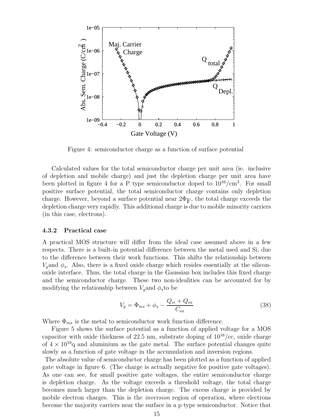

Figure 4: semiconductor charge as a function of surface potential

Calculated values for the total semiconductor charge per unit area (ie. inclusive of depletion and mobile charge) and just the depletion charge per unit area have been plotted in figure 4 for a P type semiconductor doped to  $10^{16}/\text{cm}^3$ . For small positive surface potential, the total semiconductor charge contains only depletion charge. However, beyond a surface potential near  $2\Phi_{\rm F}$ , the total charge exceeds the depletion charge very rapidly. This additional charge is due to mobile minority carriers (in this case, electrons).

#### 4.3.2 Practical case

A practical MOS structure will differ from the ideal case assumed above in a few respects. There is a built-in potential difference between the metal used and Si, due to the difference between their work functions. This shifts the relationship between  $V_g$ and  $\phi_s$ . Also, there is a fixed oxide charge which resides essentially at the siliconoxide interface. Thus, the total charge in the Gaussian box includes this fixed charge and the semiconductor charge. These two non-idealities can be accounted for by modifying the relationship between  $V<sub>g</sub>$  and  $\phi<sub>s</sub>$  to be

$$
V_g = \Phi_{ms} + \phi_s - \frac{Q_{si} + Q_{ox}}{C_{ox}}
$$
\n(38)

Where  $\Phi_{ms}$  is the metal to semiconductor work function difference.

Figure 5 shows the surface potential as a function of applied voltage for a MOS capacitor with oxide thickness of 22.5 nm, substrate doping of  $10^{16}/\text{cc}$ , oxide charge of  $4 \times 10^{10}$ q and aluminium as the gate metal. The surface potential changes quite slowly as a function of gate voltage in the accumulation and inversion regions.

The absolute value of semiconductor charge has been plotted as a function of applied gate voltage in figure 6. (The charge is actually negative for positive gate voltages). As one can see, for small positive gate voltages, the entire semiconductor charge is depletion charge. As the voltage exceeds a threshold voltage, the total charge becomes much larger than the depletion charge. The excess charge is provided by mobile electron charges. This is the *inversion* region of operation, where electrons become the majority carriers near the surface in a p type semiconductor. Notice that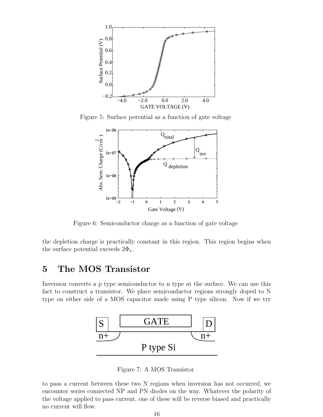

Figure 5: Surface potential as a function of gate voltage



Figure 6: Semiconductor charge as a function of gate voltage

the depletion charge is practically constant in this region. This region begins when the surface potential exceeds  $2\Phi_{\rm F}$ .

# 5 The MOS Transistor

Inversion converts a p type semiconductor to n type at the surface. We can use this fact to construct a transistor. We place semiconductor regions strongly doped to N type on either side of a MOS capacitor made using P type silicon. Now if we try



Figure 7: A MOS Transistor

to pass a current between these two N regions when inversion has not occurred, we encounter series connected NP and PN diodes on the way. Whatever the polarity of the voltage applied to pass current, one of these will be reverse biased and practically no current will flow.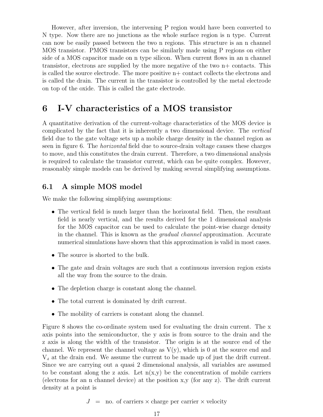However, after inversion, the intervening P region would have been converted to N type. Now there are no junctions as the whole surface region is n type. Current can now be easily passed between the two n regions. This structure is an n channel MOS transistor. PMOS transistors can be similarly made using P regions on either side of a MOS capacitor made on n type silicon. When current flows in an n channel transistor, electrons are supplied by the more negative of the two n+ contacts. This is called the source electrode. The more positive n+ contact collects the electrons and is called the drain. The current in the transistor is controlled by the metal electrode on top of the oxide. This is called the gate electrode.

# 6 I-V characteristics of a MOS transistor

A quantitative derivation of the current-voltage characteristics of the MOS device is complicated by the fact that it is inherently a two dimensional device. The vertical field due to the gate voltage sets up a mobile charge density in the channel region as seen in figure 6. The horizontal field due to source-drain voltage causes these charges to move, and this constitutes the drain current. Therefore, a two dimensional analysis is required to calculate the transistor current, which can be quite complex. However, reasonably simple models can be derived by making several simplifying assumptions.

### 6.1 A simple MOS model

We make the following simplifying assumptions:

- The vertical field is much larger than the horizontal field. Then, the resultant field is nearly vertical, and the results derived for the 1 dimensional analysis for the MOS capacitor can be used to calculate the point-wise charge density in the channel. This is known as the gradual channel approximation. Accurate numerical simulations have shown that this approximation is valid in most cases.
- The source is shorted to the bulk.
- The gate and drain voltages are such that a continuous inversion region exists all the way from the source to the drain.
- The depletion charge is constant along the channel.
- The total current is dominated by drift current.
- The mobility of carriers is constant along the channel.

Figure 8 shows the co-ordinate system used for evaluating the drain current. The x axis points into the semiconductor, the y axis is from source to the drain and the z axis is along the width of the transistor. The origin is at the source end of the channel. We represent the channel voltage as  $V(y)$ , which is 0 at the source end and  $V<sub>d</sub>$  at the drain end. We assume the current to be made up of just the drift current. Since we are carrying out a quasi 2 dimensional analysis, all variables are assumed to be constant along the z axis. Let  $n(x,y)$  be the concentration of mobile carriers (electrons for an n channel device) at the position x,y (for any z). The drift current density at a point is

 $J =$  no. of carriers  $\times$  charge per carrier  $\times$  velocity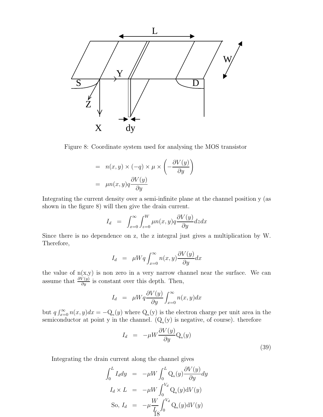

Figure 8: Coordinate system used for analysing the MOS transistor

$$
= n(x, y) \times (-q) \times \mu \times \left(-\frac{\partial V(y)}{\partial y}\right)
$$

$$
= \mu n(x, y) q \frac{\partial V(y)}{\partial y}
$$

Integrating the current density over a semi-infinite plane at the channel position y (as shown in the figure 8) will then give the drain current.

$$
I_d = \int_{x=0}^{\infty} \int_{z=0}^{W} \mu n(x, y) q \frac{\partial V(y)}{\partial y} dz dx
$$

Since there is no dependence on z, the z integral just gives a multiplication by W. Therefore,

$$
I_d = \mu W q \int_{x=0}^{\infty} n(x, y) \frac{\partial V(y)}{\partial y} dx
$$

the value of  $n(x,y)$  is non zero in a very narrow channel near the surface. We can assume that  $\frac{\partial V(y)}{\partial y}$  is constant over this depth. Then,

$$
I_d = \mu W q \frac{\partial V(y)}{\partial y} \int_{x=0}^{\infty} n(x, y) dx
$$

but  $q \int_{x=0}^{\infty} n(x, y) dx = -Q_n(y)$  where  $Q_n(y)$  is the electron charge per unit area in the semiconductor at point y in the channel.  $(Q_n(y))$  is negative, of course). therefore

$$
I_d = -\mu W \frac{\partial V(y)}{\partial y} Q_n(y)
$$
\n(39)

Integrating the drain current along the channel gives

$$
\int_0^L I_d dy = -\mu W \int_0^L Q_n(y) \frac{\partial V(y)}{\partial y} dy
$$
  
\n
$$
I_d \times L = -\mu W \int_0^{V_d} Q_n(y) dV(y)
$$
  
\nSo,  $I_d = -\mu \frac{W}{L} \int_0^{V_d} Q_n(y) dV(y)$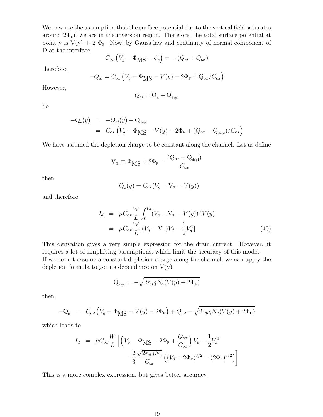We now use the assumption that the surface potential due to the vertical field saturates around  $2\Phi_F$ if we are in the inversion region. Therefore, the total surface potential at point y is  $V(y) + 2 \Phi_{F}$ . Now, by Gauss law and continuity of normal component of D at the interface,

$$
C_{ox} (V_g - \Phi_{\text{MS}} - \phi_s) = -(Q_{si} + Q_{ox})
$$

therefore,

$$
-Q_{si} = C_{ox} \left( V_g - \Phi_{\text{MS}} - V(y) - 2\Phi_{\text{F}} + Q_{ox}/C_{ox} \right)
$$

However,

$$
Q_{si} = \mathbf{Q}_{\mathrm{n}} + \mathbf{Q}_{\mathrm{depl}}
$$

So

$$
-Q_n(y) = -Q_{si}(y) + Q_{depl}
$$
  
=  $C_{ox} (V_g - \Phi_{MS} - V(y) - 2\Phi_F + (Q_{ox} + Q_{depl})/C_{ox})$ 

We have assumed the depletion charge to be constant along the channel. Let us define

$$
V_{\rm T} \equiv \Phi_{\rm MS} + 2\Phi_{\rm F} - \frac{(Q_{ox} + Q_{\rm depl})}{C_{ox}}
$$

then

$$
-Q_n(y) = C_{ox}(V_g - V_T - V(y))
$$

and therefore,

$$
I_d = \mu C_{ox} \frac{W}{L} \int_0^{V_d} (V_g - V_\text{T} - V(y)) \, \mathrm{d}V(y)
$$
  
= 
$$
\mu C_{ox} \frac{W}{L} [(V_g - V_\text{T})V_d - \frac{1}{2}V_d^2]
$$
(40)

This derivation gives a very simple expression for the drain current. However, it requires a lot of simplifying assumptions, which limit the accuracy of this model. If we do not assume a constant depletion charge along the channel, we can apply the depletion formula to get its dependence on  $V(y)$ .

$$
Q_{\text{depl}} = -\sqrt{2\epsilon_{si} q N_a (V(y) + 2\Phi_{\text{F}})}
$$

then,

$$
-Q_{n} = C_{ox} \left( V_g - \Phi_{\text{MS}} - V(y) - 2\Phi_{\text{F}} \right) + Q_{ox} - \sqrt{2\epsilon_{si} q N_a (V(y) + 2\Phi_{\text{F}})}
$$

which leads to

$$
I_d = \mu C_{ox} \frac{W}{L} \left[ \left( V_g - \Phi_{\text{MS}} - 2\Phi_{\text{F}} + \frac{Q_{ox}}{C_{ox}} \right) V_d - \frac{1}{2} V_d^2 - \frac{2}{3} \frac{\sqrt{2\epsilon_{si} q N_a}}{C_{ox}} \left( (V_d + 2\Phi_{\text{F}})^{3/2} - (2\Phi_{\text{F}})^{3/2} \right) \right]
$$

This is a more complex expression, but gives better accuracy.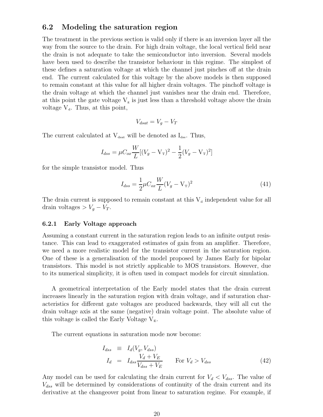### 6.2 Modeling the saturation region

The treatment in the previous section is valid only if there is an inversion layer all the way from the source to the drain. For high drain voltage, the local vertical field near the drain is not adequate to take the semiconductor into inversion. Several models have been used to describe the transistor behaviour in this regime. The simplest of these defines a saturation voltage at which the channel just pinches off at the drain end. The current calculated for this voltage by the above models is then supposed to remain constant at this value for all higher drain voltages. The pinchoff voltage is the drain voltage at which the channel just vanishes near the drain end. Therefore, at this point the gate voltage  $V_g$  is just less than a threshold voltage above the drain voltage  $V_d$ . Thus, at this point,

$$
V_{dsat} = V_g - V_T
$$

The current calculated at  $V_{dsat}$  will be denoted as  $I_{dss}$ . Thus,

$$
I_{dss} = \mu C_{ox} \frac{W}{L} [(V_g - V_T)^2 - \frac{1}{2} (V_g - V_T)^2]
$$

for the simple transistor model. Thus

$$
I_{dss} = \frac{1}{2}\mu C_{ox} \frac{W}{L} (V_g - V_\text{T})^2
$$
\n(41)

The drain current is supposed to remain constant at this  $V_d$  independent value for all drain voltages >  $V_g - V_T$ .

#### 6.2.1 Early Voltage approach

Assuming a constant current in the saturation region leads to an infinite output resistance. This can lead to exaggerated estimates of gain from an amplifier. Therefore, we need a more realistic model for the transistor current in the saturation region. One of these is a generalisation of the model proposed by James Early for bipolar transistors. This model is not strictly applicable to MOS transistors. However, due to its numerical simplicity, it is often used in compact models for circuit simulation.

A geometrical interpretation of the Early model states that the drain current increases linearly in the saturation region with drain voltage, and if saturation characteristics for different gate voltages are produced backwards, they will all cut the drain voltage axis at the same (negative) drain voltage point. The absolute value of this voltage is called the Early Voltage  $V<sub>E</sub>$ .

The current equations in saturation mode now become:

$$
I_{dss} \equiv I_d(V_g, V_{dss})
$$
  
\n
$$
I_d = I_{dss} \frac{V_d + V_E}{V_{dss} + V_E}
$$
 For  $V_d > V_{dss}$  (42)

Any model can be used for calculating the drain current for  $V_d < V_{dss}$ . The value of  $V_{dss}$  will be determined by considerations of continuity of the drain current and its derivative at the changeover point from linear to saturation regime. For example, if